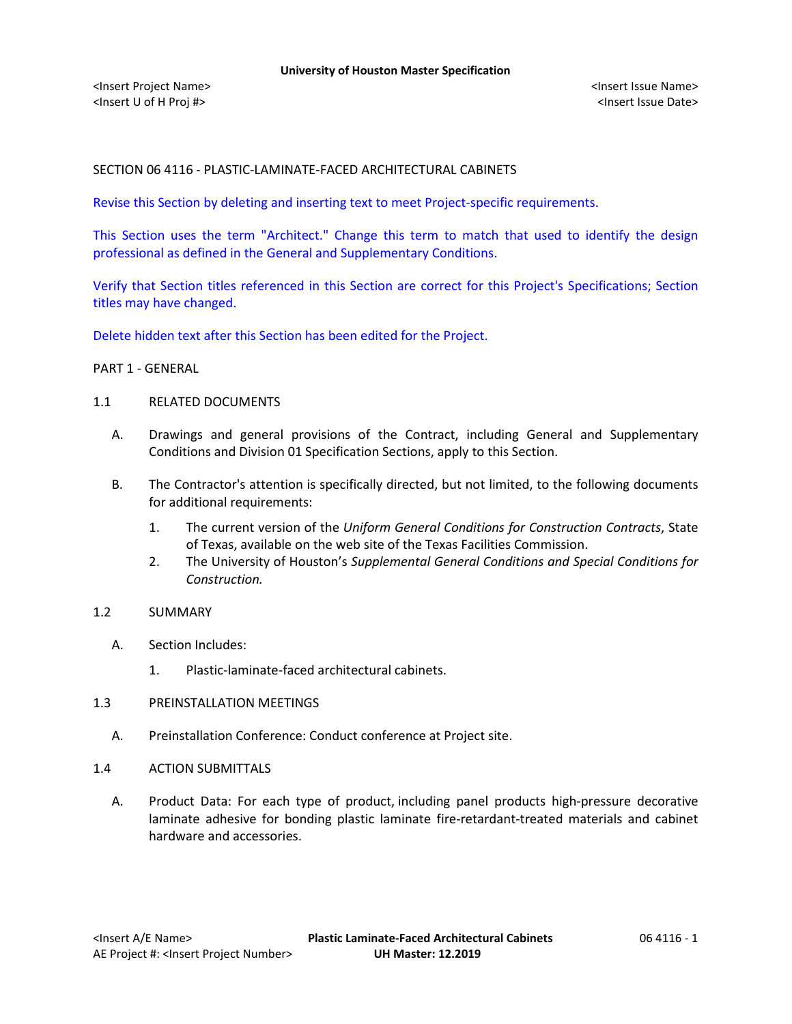# SECTION 06 4116 - PLASTIC-LAMINATE-FACED ARCHITECTURAL CABINETS

Revise this Section by deleting and inserting text to meet Project-specific requirements.

This Section uses the term "Architect." Change this term to match that used to identify the design professional as defined in the General and Supplementary Conditions.

Verify that Section titles referenced in this Section are correct for this Project's Specifications; Section titles may have changed.

Delete hidden text after this Section has been edited for the Project.

#### PART 1 - GENERAL

#### 1.1 RELATED DOCUMENTS

- A. Drawings and general provisions of the Contract, including General and Supplementary Conditions and Division 01 Specification Sections, apply to this Section.
- B. The Contractor's attention is specifically directed, but not limited, to the following documents for additional requirements:
	- 1. The current version of the *Uniform General Conditions for Construction Contracts*, State of Texas, available on the web site of the Texas Facilities Commission.
	- 2. The University of Houston's *Supplemental General Conditions and Special Conditions for Construction.*

## 1.2 SUMMARY

- A. Section Includes:
	- 1. Plastic-laminate-faced architectural cabinets.
- 1.3 PREINSTALLATION MEETINGS
	- A. Preinstallation Conference: Conduct conference at Project site.
- 1.4 ACTION SUBMITTALS
	- A. Product Data: For each type of product, including panel products high-pressure decorative laminate adhesive for bonding plastic laminate fire-retardant-treated materials and cabinet hardware and accessories.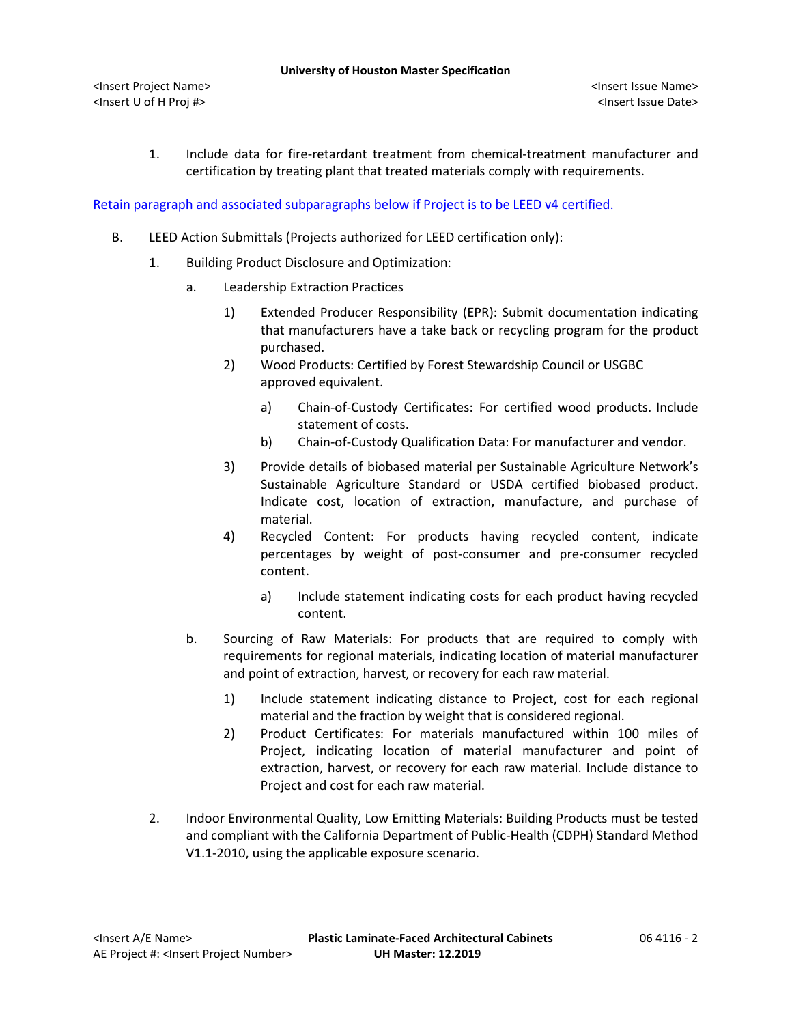1. Include data for fire-retardant treatment from chemical-treatment manufacturer and certification by treating plant that treated materials comply with requirements.

Retain paragraph and associated subparagraphs below if Project is to be LEED v4 certified.

- B. LEED Action Submittals (Projects authorized for LEED certification only):
	- 1. Building Product Disclosure and Optimization:
		- a. Leadership Extraction Practices
			- 1) Extended Producer Responsibility (EPR): Submit documentation indicating that manufacturers have a take back or recycling program for the product purchased.
			- 2) Wood Products: Certified by Forest Stewardship Council or USGBC approved equivalent.
				- a) [Chain-of-Custody Certificates:](http://www.arcomnet.com/sustainable_design.aspx?topic=146) For certified wood products. Include statement of costs.
				- b) [Chain-of-Custody Qualification Data:](http://www.arcomnet.com/sustainable_design.aspx?topic=148) For manufacturer and vendor.
			- 3) Provide details of biobased material per Sustainable Agriculture Network's Sustainable Agriculture Standard or USDA certified biobased product. Indicate cost, location of extraction, manufacture, and purchase of material.
			- 4) Recycled Content: For products having recycled content, indicate percentages by weight of post-consumer and pre-consumer recycled content.
				- a) Include statement indicating costs for each product having recycled content.
		- b. Sourcing of Raw Materials: For products that are required to comply with requirements for regional materials, indicating location of material manufacturer and point of extraction, harvest, or recovery for each raw material.
			- 1) Include statement indicating distance to Project, cost for each regional material and the fraction by weight that is considered regional.
			- 2) Product Certificates: For materials manufactured within 100 miles of Project, indicating location of material manufacturer and point of extraction, harvest, or recovery for each raw material. Include distance to Project and cost for each raw material.
	- 2. Indoor Environmental Quality, Low Emitting Materials: Building Products must be tested and compliant with the California Department of Public-Health (CDPH) Standard Method V1.1-2010, using the applicable exposure scenario.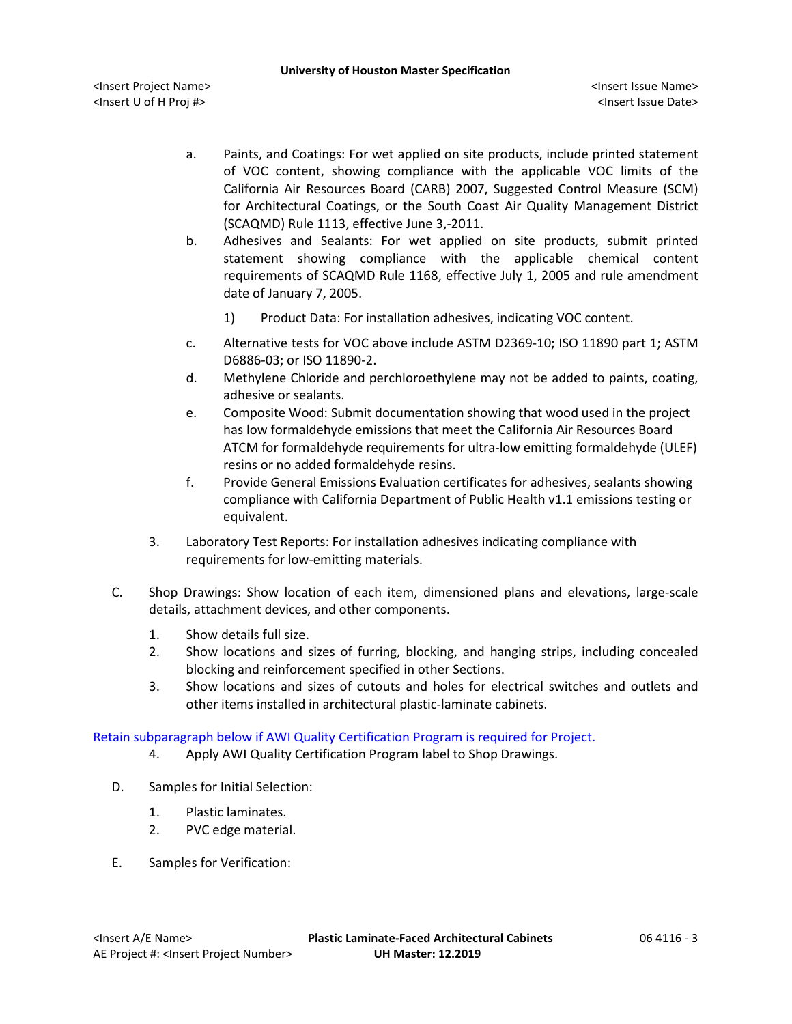<Insert Project Name> <Insert Issue Name> <Insert U of H Proj #> <Insert Issue Date>

- a. Paints, and Coatings: For wet applied on site products, include printed statement of VOC content, showing compliance with the applicable VOC limits of the California Air Resources Board (CARB) 2007, Suggested Control Measure (SCM) for Architectural Coatings, or the South Coast Air Quality Management District (SCAQMD) Rule 1113, effective June 3,-2011.
- b. Adhesives and Sealants: For wet applied on site products, submit printed statement showing compliance with the applicable chemical content requirements of SCAQMD Rule 1168, effective July 1, 2005 and rule amendment date of January 7, 2005.
	- 1) Product Data: For installation adhesives, indicating VOC content.
- c. Alternative tests for VOC above include ASTM D2369-10; ISO 11890 part 1; ASTM D6886-03; or ISO 11890-2.
- d. Methylene Chloride and perchloroethylene may not be added to paints, coating, adhesive or sealants.
- e. Composite Wood: Submit documentation showing that wood used in the project has low formaldehyde emissions that meet the California Air Resources Board ATCM for formaldehyde requirements for ultra-low emitting formaldehyde (ULEF) resins or no added formaldehyde resins.
- f. Provide General Emissions Evaluation certificates for adhesives, sealants showing compliance with California Department of Public Health v1.1 emissions testing or equivalent.
- 3. Laboratory Test Reports: For installation adhesives indicating compliance with requirements for low-emitting materials.
- C. Shop Drawings: Show location of each item, dimensioned plans and elevations, large-scale details, attachment devices, and other components.
	- 1. Show details full size.
	- 2. Show locations and sizes of furring, blocking, and hanging strips, including concealed blocking and reinforcement specified in other Sections.
	- 3. Show locations and sizes of cutouts and holes for electrical switches and outlets and other items installed in architectural plastic-laminate cabinets.

Retain subparagraph below if AWI Quality Certification Program is required for Project.

- 4. Apply AWI Quality Certification Program label to Shop Drawings.
- D. Samples for Initial Selection:
	- 1. Plastic laminates.
	- 2. PVC edge material.
- E. Samples for Verification: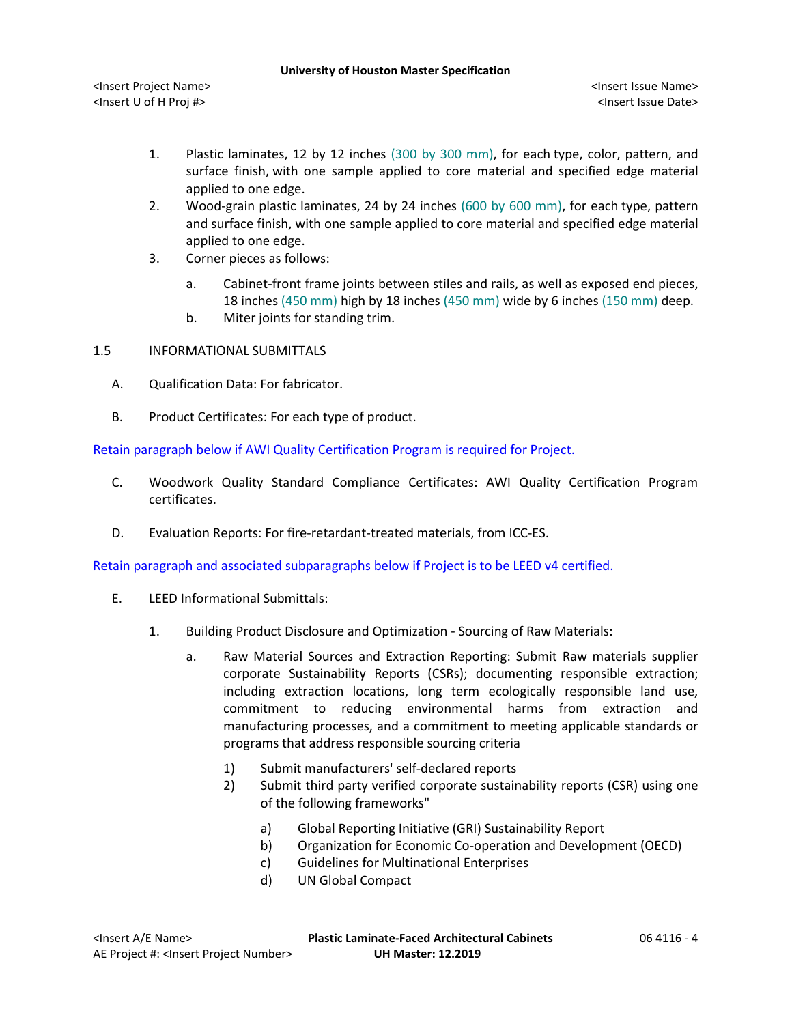- 1. Plastic laminates, 12 by 12 inches (300 by 300 mm), for each type, color, pattern, and surface finish, with one sample applied to core material and specified edge material applied to one edge.
- 2. Wood-grain plastic laminates, 24 by 24 inches (600 by 600 mm), for each type, pattern and surface finish, with one sample applied to core material and specified edge material applied to one edge.
- 3. Corner pieces as follows:
	- a. Cabinet-front frame joints between stiles and rails, as well as exposed end pieces, 18 inches (450 mm) high by 18 inches (450 mm) wide by 6 inches (150 mm) deep.
	- b. Miter joints for standing trim.
- 1.5 INFORMATIONAL SUBMITTALS
	- A. Qualification Data: For fabricator.
	- B. Product Certificates: For each type of product.

Retain paragraph below if AWI Quality Certification Program is required for Project.

- C. Woodwork Quality Standard Compliance Certificates: AWI Quality Certification Program certificates.
- D. Evaluation Reports: For fire-retardant-treated materials, from ICC-ES.

Retain paragraph and associated subparagraphs below if Project is to be LEED v4 certified.

- E. LEED Informational Submittals:
	- 1. Building Product Disclosure and Optimization Sourcing of Raw Materials:
		- a. Raw Material Sources and Extraction Reporting: Submit Raw materials supplier corporate Sustainability Reports (CSRs); documenting responsible extraction; including extraction locations, long term ecologically responsible land use, commitment to reducing environmental harms from extraction and manufacturing processes, and a commitment to meeting applicable standards or programs that address responsible sourcing criteria
			- 1) Submit manufacturers' self-declared reports
			- 2) Submit third party verified corporate sustainability reports (CSR) using one of the following frameworks"
				- a) Global Reporting Initiative (GRI) Sustainability Report
				- b) Organization for Economic Co-operation and Development (OECD)
				- c) Guidelines for Multinational Enterprises
				- d) UN Global Compact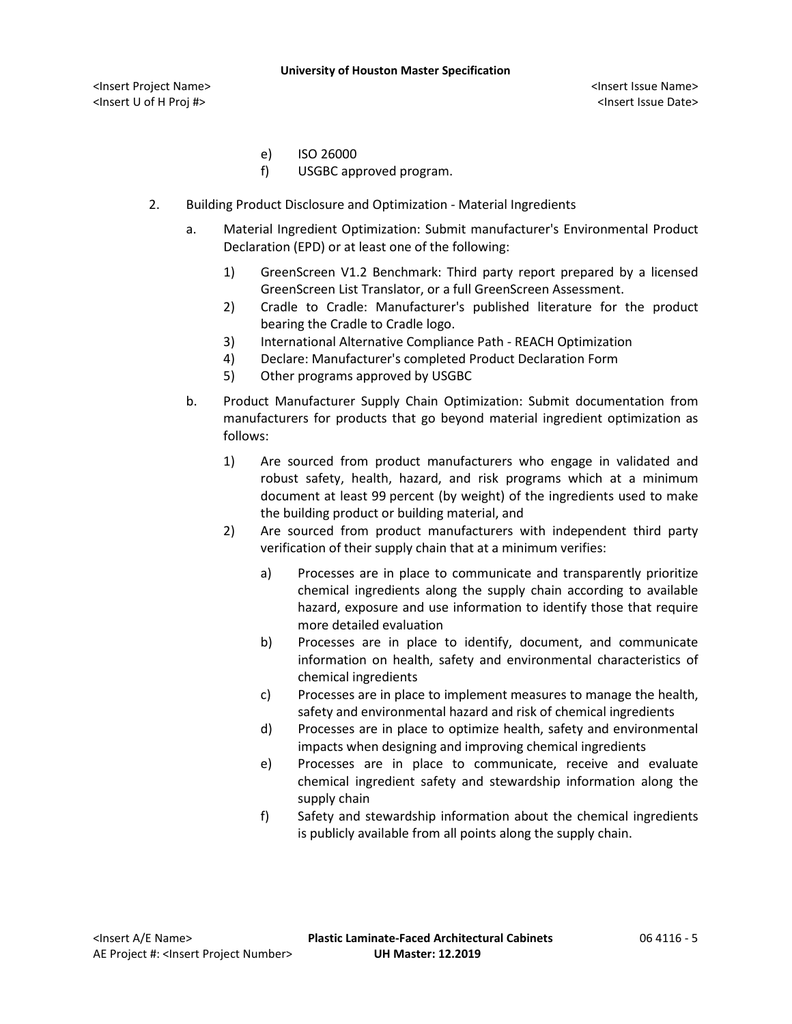#### **University of Houston Master Specification**

<Insert Project Name> <Insert Issue Name> <Insert U of H Proj #> <Insert Issue Date>

- e) ISO 26000
- f) USGBC approved program.
- 2. Building Product Disclosure and Optimization Material Ingredients
	- a. Material Ingredient Optimization: Submit manufacturer's Environmental Product Declaration (EPD) or at least one of the following:
		- 1) GreenScreen V1.2 Benchmark: Third party report prepared by a licensed GreenScreen List Translator, or a full GreenScreen Assessment.
		- 2) Cradle to Cradle: Manufacturer's published literature for the product bearing the Cradle to Cradle logo.
		- 3) International Alternative Compliance Path REACH Optimization
		- 4) Declare: Manufacturer's completed Product Declaration Form
		- 5) Other programs approved by USGBC
	- b. Product Manufacturer Supply Chain Optimization: Submit documentation from manufacturers for products that go beyond material ingredient optimization as follows:
		- 1) Are sourced from product manufacturers who engage in validated and robust safety, health, hazard, and risk programs which at a minimum document at least 99 percent (by weight) of the ingredients used to make the building product or building material, and
		- 2) Are sourced from product manufacturers with independent third party verification of their supply chain that at a minimum verifies:
			- a) Processes are in place to communicate and transparently prioritize chemical ingredients along the supply chain according to available hazard, exposure and use information to identify those that require more detailed evaluation
			- b) Processes are in place to identify, document, and communicate information on health, safety and environmental characteristics of chemical ingredients
			- c) Processes are in place to implement measures to manage the health, safety and environmental hazard and risk of chemical ingredients
			- d) Processes are in place to optimize health, safety and environmental impacts when designing and improving chemical ingredients
			- e) Processes are in place to communicate, receive and evaluate chemical ingredient safety and stewardship information along the supply chain
			- f) Safety and stewardship information about the chemical ingredients is publicly available from all points along the supply chain.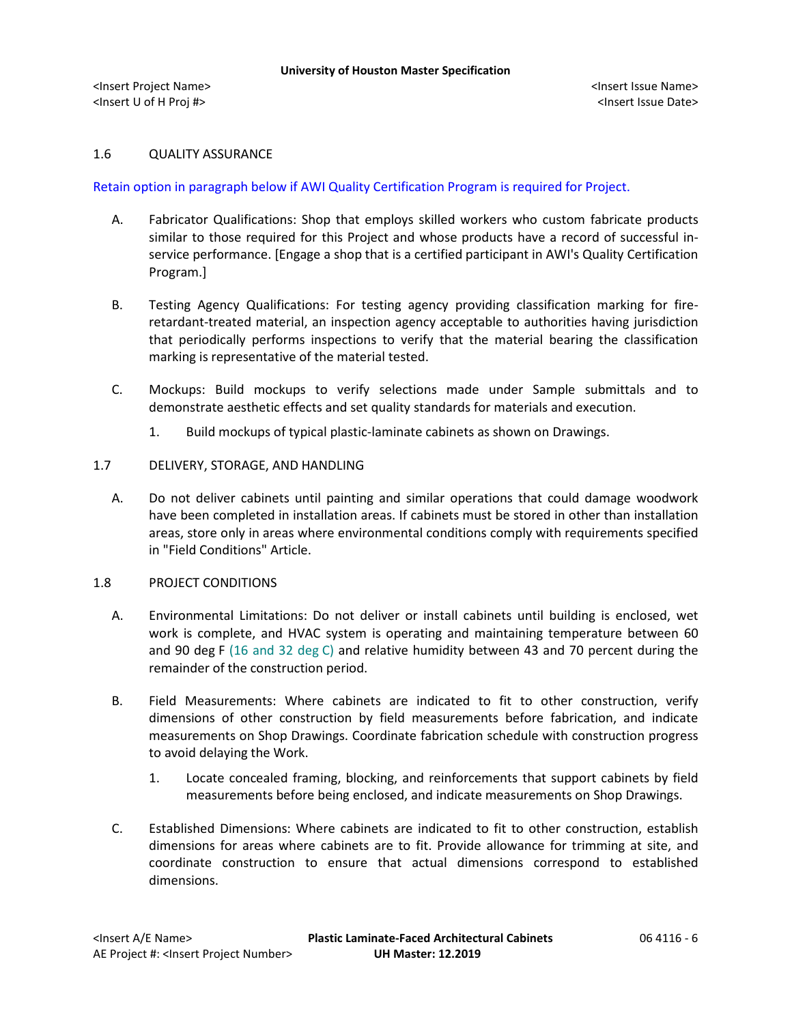## 1.6 QUALITY ASSURANCE

## Retain option in paragraph below if AWI Quality Certification Program is required for Project.

- A. Fabricator Qualifications: Shop that employs skilled workers who custom fabricate products similar to those required for this Project and whose products have a record of successful inservice performance. [Engage a shop that is a certified participant in AWI's Quality Certification Program.]
- B. Testing Agency Qualifications: For testing agency providing classification marking for fireretardant-treated material, an inspection agency acceptable to authorities having jurisdiction that periodically performs inspections to verify that the material bearing the classification marking is representative of the material tested.
- C. Mockups: Build mockups to verify selections made under Sample submittals and to demonstrate aesthetic effects and set quality standards for materials and execution.
	- 1. Build mockups of typical plastic-laminate cabinets as shown on Drawings.

#### 1.7 DELIVERY, STORAGE, AND HANDLING

A. Do not deliver cabinets until painting and similar operations that could damage woodwork have been completed in installation areas. If cabinets must be stored in other than installation areas, store only in areas where environmental conditions comply with requirements specified in "Field Conditions" Article.

## 1.8 PROJECT CONDITIONS

- A. Environmental Limitations: Do not deliver or install cabinets until building is enclosed, wet work is complete, and HVAC system is operating and maintaining temperature between 60 and 90 deg F (16 and 32 deg C) and relative humidity between 43 and 70 percent during the remainder of the construction period.
- B. Field Measurements: Where cabinets are indicated to fit to other construction, verify dimensions of other construction by field measurements before fabrication, and indicate measurements on Shop Drawings. Coordinate fabrication schedule with construction progress to avoid delaying the Work.
	- 1. Locate concealed framing, blocking, and reinforcements that support cabinets by field measurements before being enclosed, and indicate measurements on Shop Drawings.
- C. Established Dimensions: Where cabinets are indicated to fit to other construction, establish dimensions for areas where cabinets are to fit. Provide allowance for trimming at site, and coordinate construction to ensure that actual dimensions correspond to established dimensions.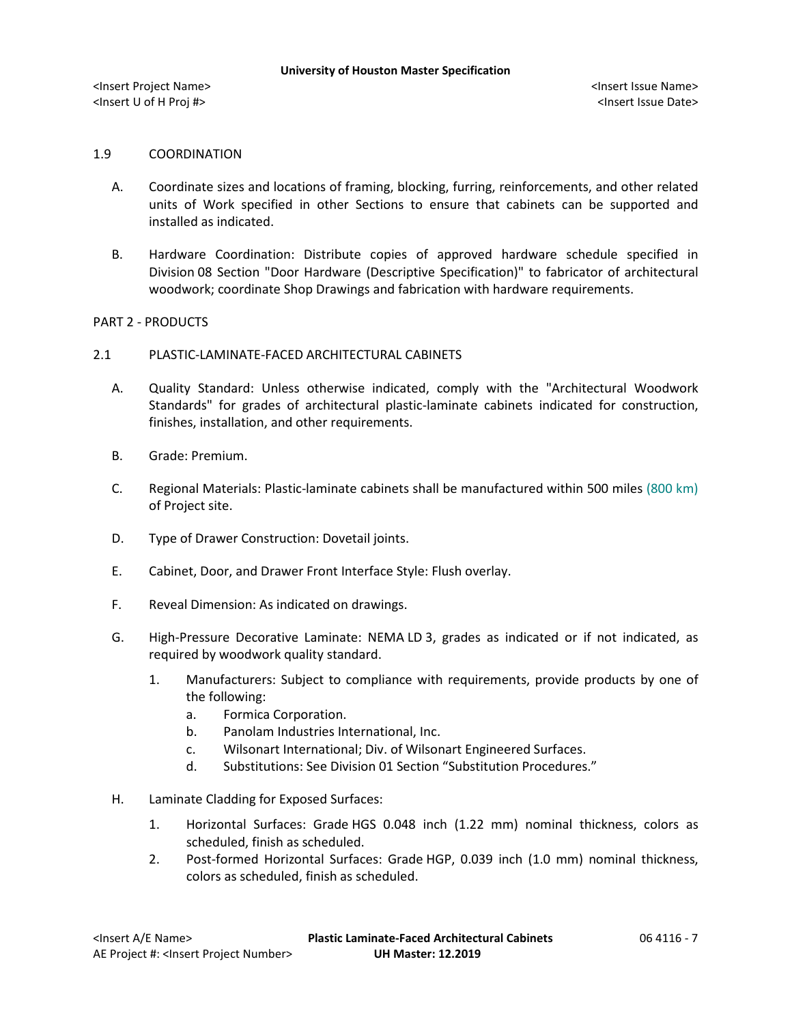#### 1.9 COORDINATION

- A. Coordinate sizes and locations of framing, blocking, furring, reinforcements, and other related units of Work specified in other Sections to ensure that cabinets can be supported and installed as indicated.
- B. Hardware Coordination: Distribute copies of approved hardware schedule specified in Division 08 Section "Door Hardware (Descriptive Specification)" to fabricator of architectural woodwork; coordinate Shop Drawings and fabrication with hardware requirements.

## PART 2 - PRODUCTS

## 2.1 PLASTIC-LAMINATE-FACED ARCHITECTURAL CABINETS

- A. Quality Standard: Unless otherwise indicated, comply with the "Architectural Woodwork Standards" for grades of architectural plastic-laminate cabinets indicated for construction, finishes, installation, and other requirements.
- B. Grade: Premium.
- C. Regional Materials: Plastic-laminate cabinets shall be manufactured within 500 miles (800 km) of Project site.
- D. Type of Drawer Construction: Dovetail joints.
- E. Cabinet, Door, and Drawer Front Interface Style: Flush overlay.
- F. Reveal Dimension: As indicated on drawings.
- G. High-Pressure Decorative Laminate: NEMA LD 3, grades as indicated or if not indicated, as required by woodwork quality standard.
	- 1. [Manufacturers:](http://www.specagent.com/LookUp/?ulid=5711&mf=04&src=wd) Subject to compliance with requirements, provide products by one of the following:
		- a. [Formica Corporation.](http://www.specagent.com/LookUp/?uid=123456827150&mf=04&src=wd)
		- b. [Panolam Industries International, Inc.](http://www.specagent.com/LookUp/?uid=123456827152&mf=04&src=wd)
		- c. [Wilsonart International;](http://www.specagent.com/LookUp/?uid=123456827153&mf=04&src=wd) Div. of Wilsonart Engineered Surfaces.
		- d. Substitutions: See Division 01 Section "Substitution Procedures."
- H. Laminate Cladding for Exposed Surfaces:
	- 1. Horizontal Surfaces: Grade HGS 0.048 inch (1.22 mm) nominal thickness, colors as scheduled, finish as scheduled.
	- 2. Post-formed Horizontal Surfaces: Grade HGP, 0.039 inch (1.0 mm) nominal thickness, colors as scheduled, finish as scheduled.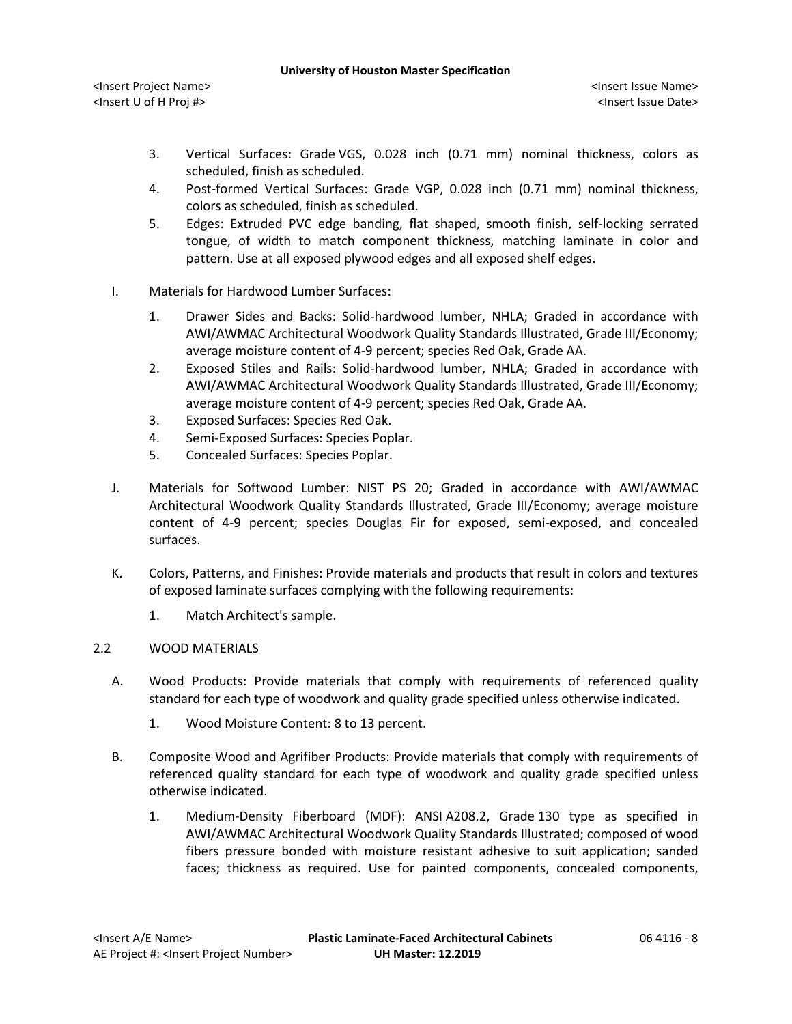- 3. Vertical Surfaces: Grade VGS, 0.028 inch (0.71 mm) nominal thickness, colors as scheduled, finish as scheduled.
- 4. Post-formed Vertical Surfaces: Grade VGP, 0.028 inch (0.71 mm) nominal thickness, colors as scheduled, finish as scheduled.
- 5. Edges: Extruded PVC edge banding, flat shaped, smooth finish, self-locking serrated tongue, of width to match component thickness, matching laminate in color and pattern. Use at all exposed plywood edges and all exposed shelf edges.
- I. Materials for Hardwood Lumber Surfaces:
	- 1. Drawer Sides and Backs: Solid-hardwood lumber, NHLA; Graded in accordance with AWI/AWMAC Architectural Woodwork Quality Standards Illustrated, Grade III/Economy; average moisture content of 4-9 percent; species Red Oak, Grade AA.
	- 2. Exposed Stiles and Rails: Solid-hardwood lumber, NHLA; Graded in accordance with AWI/AWMAC Architectural Woodwork Quality Standards Illustrated, Grade III/Economy; average moisture content of 4-9 percent; species Red Oak, Grade AA.
	- 3. Exposed Surfaces: Species Red Oak.
	- 4. Semi-Exposed Surfaces: Species Poplar.
	- 5. Concealed Surfaces: Species Poplar.
- J. Materials for Softwood Lumber: NIST PS 20; Graded in accordance with AWI/AWMAC Architectural Woodwork Quality Standards Illustrated, Grade III/Economy; average moisture content of 4-9 percent; species Douglas Fir for exposed, semi-exposed, and concealed surfaces.
- K. Colors, Patterns, and Finishes: Provide materials and products that result in colors and textures of exposed laminate surfaces complying with the following requirements:
	- 1. Match Architect's sample.

# 2.2 WOOD MATERIALS

- A. Wood Products: Provide materials that comply with requirements of referenced quality standard for each type of woodwork and quality grade specified unless otherwise indicated.
	- 1. Wood Moisture Content: 8 to 13 percent.
- B. Composite Wood and Agrifiber Products: Provide materials that comply with requirements of referenced quality standard for each type of woodwork and quality grade specified unless otherwise indicated.
	- 1. Medium-Density Fiberboard (MDF): ANSI A208.2, Grade 130 type as specified in AWI/AWMAC Architectural Woodwork Quality Standards Illustrated; composed of wood fibers pressure bonded with moisture resistant adhesive to suit application; sanded faces; thickness as required. Use for painted components, concealed components,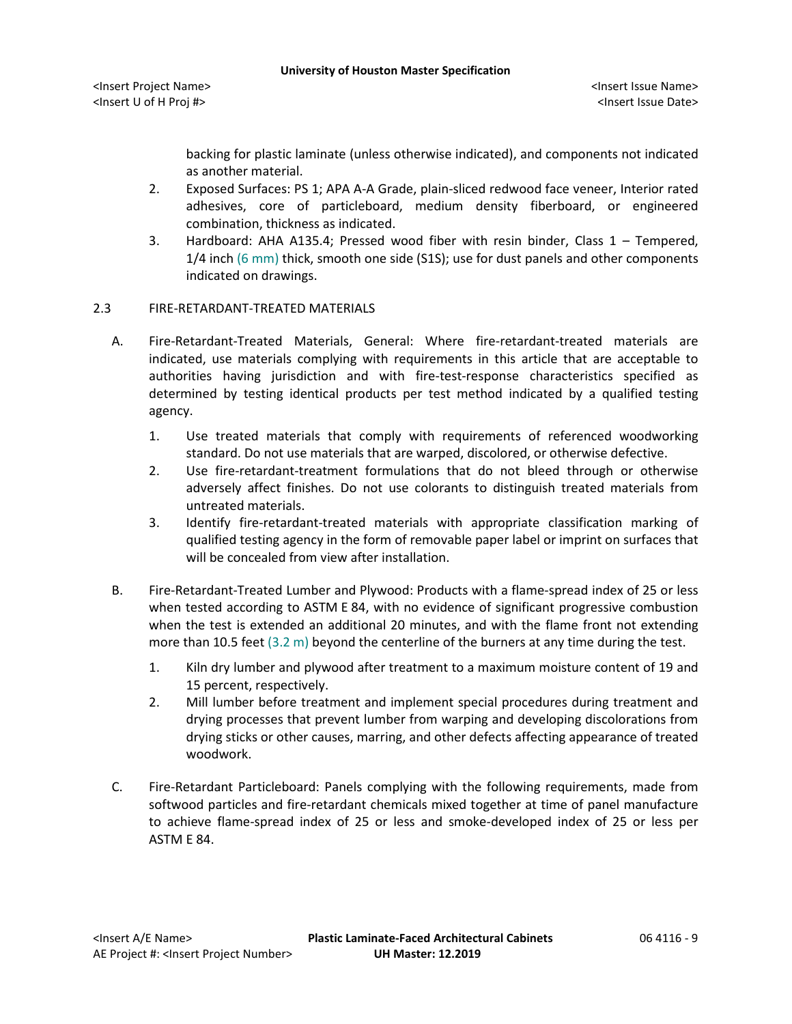<Insert Project Name> <Insert Issue Name> <Insert U of H Proj #> <Insert Issue Date>

backing for plastic laminate (unless otherwise indicated), and components not indicated as another material.

- 2. Exposed Surfaces: PS 1; APA A-A Grade, plain-sliced redwood face veneer, Interior rated adhesives, core of particleboard, medium density fiberboard, or engineered combination, thickness as indicated.
- 3. Hardboard: AHA A135.4; Pressed wood fiber with resin binder, Class 1 Tempered, 1/4 inch (6 mm) thick, smooth one side (S1S); use for dust panels and other components indicated on drawings.

## 2.3 FIRE-RETARDANT-TREATED MATERIALS

- A. Fire-Retardant-Treated Materials, General: Where fire-retardant-treated materials are indicated, use materials complying with requirements in this article that are acceptable to authorities having jurisdiction and with fire-test-response characteristics specified as determined by testing identical products per test method indicated by a qualified testing agency.
	- 1. Use treated materials that comply with requirements of referenced woodworking standard. Do not use materials that are warped, discolored, or otherwise defective.
	- 2. Use fire-retardant-treatment formulations that do not bleed through or otherwise adversely affect finishes. Do not use colorants to distinguish treated materials from untreated materials.
	- 3. Identify fire-retardant-treated materials with appropriate classification marking of qualified testing agency in the form of removable paper label or imprint on surfaces that will be concealed from view after installation.
- B. Fire-Retardant-Treated Lumber and Plywood: Products with a flame-spread index of 25 or less when tested according to ASTM E 84, with no evidence of significant progressive combustion when the test is extended an additional 20 minutes, and with the flame front not extending more than 10.5 feet (3.2 m) beyond the centerline of the burners at any time during the test.
	- 1. Kiln dry lumber and plywood after treatment to a maximum moisture content of 19 and 15 percent, respectively.
	- 2. Mill lumber before treatment and implement special procedures during treatment and drying processes that prevent lumber from warping and developing discolorations from drying sticks or other causes, marring, and other defects affecting appearance of treated woodwork.
- C. Fire-Retardant Particleboard: Panels complying with the following requirements, made from softwood particles and fire-retardant chemicals mixed together at time of panel manufacture to achieve flame-spread index of 25 or less and smoke-developed index of 25 or less per ASTM E 84.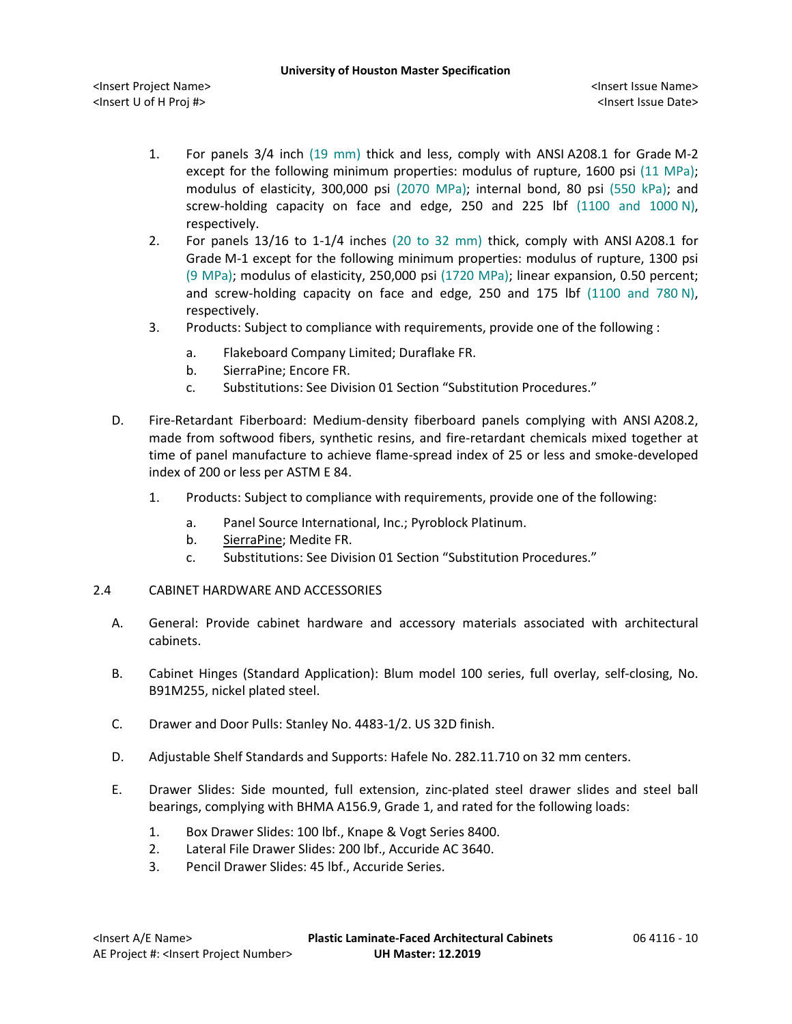<Insert Project Name> <Insert Issue Name> <Insert U of H Proj #> <Insert Issue Date>

- 1. For panels 3/4 inch (19 mm) thick and less, comply with ANSI A208.1 for Grade M-2 except for the following minimum properties: modulus of rupture, 1600 psi (11 MPa); modulus of elasticity, 300,000 psi (2070 MPa); internal bond, 80 psi (550 kPa); and screw-holding capacity on face and edge, 250 and 225 lbf (1100 and 1000 N), respectively.
- 2. For panels 13/16 to 1-1/4 inches (20 to 32 mm) thick, comply with ANSI A208.1 for Grade M-1 except for the following minimum properties: modulus of rupture, 1300 psi (9 MPa); modulus of elasticity, 250,000 psi (1720 MPa); linear expansion, 0.50 percent; and screw-holding capacity on face and edge, 250 and 175 lbf (1100 and 780 N), respectively.
- 3. [Products:](http://www.specagent.com/LookUp/?ulid=5713&mf=04&src=wd) Subject to compliance with requirements, provide one of the following :
	- a. [Flakeboard Company Limited;](http://www.specagent.com/LookUp/?uid=123456827156&mf=04&src=wd) Duraflake FR.
	- b. [SierraPine;](http://www.specagent.com/LookUp/?uid=123456827157&mf=04&src=wd) Encore FR.
	- c. Substitutions: See Division 01 Section "Substitution Procedures."
- D. Fire-Retardant Fiberboard: Medium-density fiberboard panels complying with ANSI A208.2, made from softwood fibers, synthetic resins, and fire-retardant chemicals mixed together at time of panel manufacture to achieve flame-spread index of 25 or less and smoke-developed index of 200 or less per ASTM E 84.
	- 1. [Products:](http://www.specagent.com/LookUp/?ulid=5714&mf=04&src=wd) Subject to compliance with requirements, provide one of the following:
		- a. [Panel Source International, Inc.](http://www.specagent.com/LookUp/?uid=123456827158&mf=04&src=wd); Pyroblock Platinum.
		- b. [SierraPine;](http://www.specagent.com/LookUp/?uid=123456827159&mf=04&src=wd) Medite FR.
		- c. Substitutions: See Division 01 Section "Substitution Procedures."
- 2.4 CABINET HARDWARE AND ACCESSORIES
	- A. General: Provide cabinet hardware and accessory materials associated with architectural cabinets.
	- B. Cabinet Hinges (Standard Application): Blum model 100 series, full overlay, self-closing, No. B91M255, nickel plated steel.
	- C. Drawer and Door Pulls: Stanley No. 4483-1/2. US 32D finish.
	- D. Adjustable Shelf Standards and Supports: Hafele No. 282.11.710 on 32 mm centers.
	- E. Drawer Slides: Side mounted, full extension, zinc-plated steel drawer slides and steel ball bearings, complying with BHMA A156.9, Grade 1, and rated for the following loads:
		- 1. Box Drawer Slides: 100 lbf., Knape & Vogt Series 8400.
		- 2. Lateral File Drawer Slides: 200 lbf., Accuride AC 3640.
		- 3. Pencil Drawer Slides: 45 lbf., Accuride Series.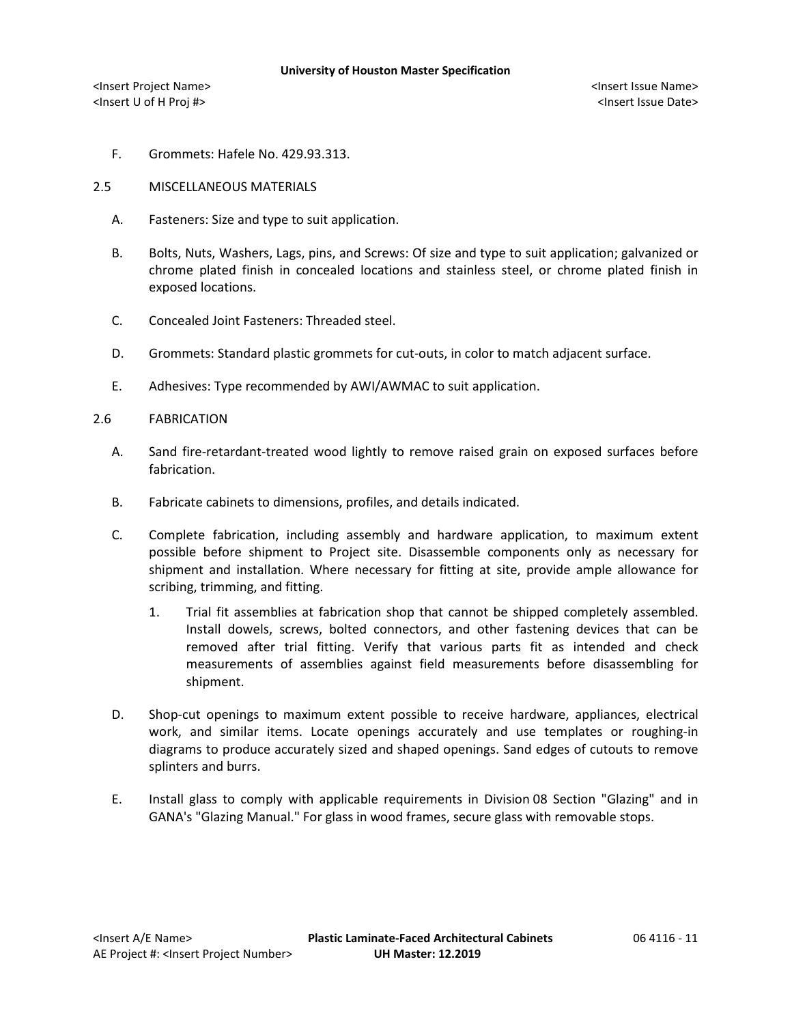- F. Grommets: Hafele No. 429.93.313.
- 2.5 MISCELLANEOUS MATERIALS
	- A. Fasteners: Size and type to suit application.
	- B. Bolts, Nuts, Washers, Lags, pins, and Screws: Of size and type to suit application; galvanized or chrome plated finish in concealed locations and stainless steel, or chrome plated finish in exposed locations.
	- C. Concealed Joint Fasteners: Threaded steel.
	- D. Grommets: Standard plastic grommets for cut-outs, in color to match adjacent surface.
	- E. Adhesives: Type recommended by AWI/AWMAC to suit application.

## 2.6 FABRICATION

- A. Sand fire-retardant-treated wood lightly to remove raised grain on exposed surfaces before fabrication.
- B. Fabricate cabinets to dimensions, profiles, and details indicated.
- C. Complete fabrication, including assembly and hardware application, to maximum extent possible before shipment to Project site. Disassemble components only as necessary for shipment and installation. Where necessary for fitting at site, provide ample allowance for scribing, trimming, and fitting.
	- 1. Trial fit assemblies at fabrication shop that cannot be shipped completely assembled. Install dowels, screws, bolted connectors, and other fastening devices that can be removed after trial fitting. Verify that various parts fit as intended and check measurements of assemblies against field measurements before disassembling for shipment.
- D. Shop-cut openings to maximum extent possible to receive hardware, appliances, electrical work, and similar items. Locate openings accurately and use templates or roughing-in diagrams to produce accurately sized and shaped openings. Sand edges of cutouts to remove splinters and burrs.
- E. Install glass to comply with applicable requirements in Division 08 Section "Glazing" and in GANA's "Glazing Manual." For glass in wood frames, secure glass with removable stops.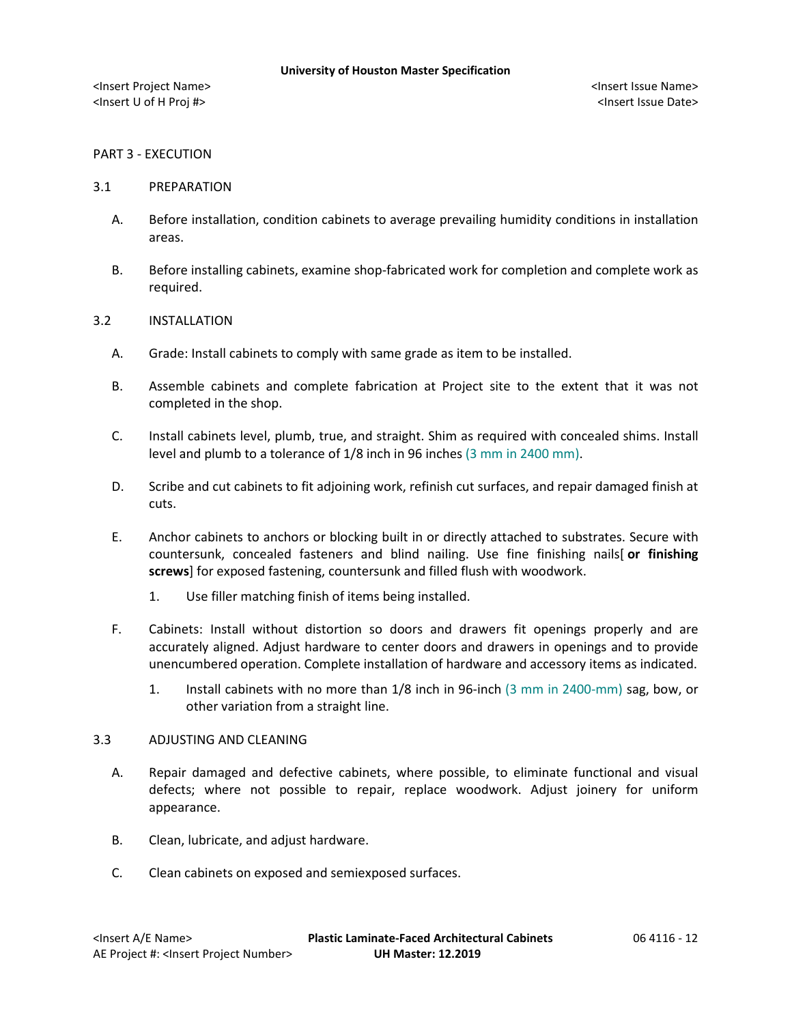## PART 3 - EXECUTION

#### 3.1 PREPARATION

- A. Before installation, condition cabinets to average prevailing humidity conditions in installation areas.
- B. Before installing cabinets, examine shop-fabricated work for completion and complete work as required.

#### 3.2 INSTALLATION

- A. Grade: Install cabinets to comply with same grade as item to be installed.
- B. Assemble cabinets and complete fabrication at Project site to the extent that it was not completed in the shop.
- C. Install cabinets level, plumb, true, and straight. Shim as required with concealed shims. Install level and plumb to a tolerance of 1/8 inch in 96 inches (3 mm in 2400 mm).
- D. Scribe and cut cabinets to fit adjoining work, refinish cut surfaces, and repair damaged finish at cuts.
- E. Anchor cabinets to anchors or blocking built in or directly attached to substrates. Secure with countersunk, concealed fasteners and blind nailing. Use fine finishing nails[ **or finishing screws**] for exposed fastening, countersunk and filled flush with woodwork.
	- 1. Use filler matching finish of items being installed.
- F. Cabinets: Install without distortion so doors and drawers fit openings properly and are accurately aligned. Adjust hardware to center doors and drawers in openings and to provide unencumbered operation. Complete installation of hardware and accessory items as indicated.
	- 1. Install cabinets with no more than 1/8 inch in 96-inch (3 mm in 2400-mm) sag, bow, or other variation from a straight line.

# 3.3 ADJUSTING AND CLEANING

- A. Repair damaged and defective cabinets, where possible, to eliminate functional and visual defects; where not possible to repair, replace woodwork. Adjust joinery for uniform appearance.
- B. Clean, lubricate, and adjust hardware.
- C. Clean cabinets on exposed and semiexposed surfaces.